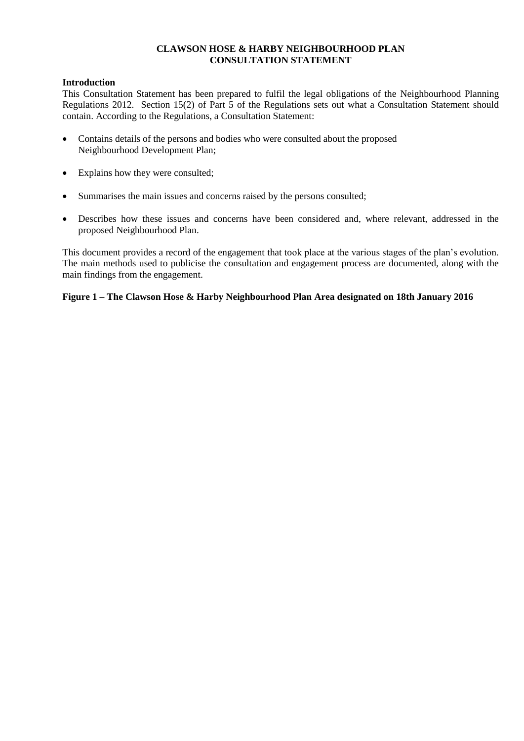## **CLAWSON HOSE & HARBY NEIGHBOURHOOD PLAN CONSULTATION STATEMENT**

## **Introduction**

This Consultation Statement has been prepared to fulfil the legal obligations of the Neighbourhood Planning Regulations 2012. Section 15(2) of Part 5 of the Regulations sets out what a Consultation Statement should contain. According to the Regulations, a Consultation Statement:

- Contains details of the persons and bodies who were consulted about the proposed Neighbourhood Development Plan;
- Explains how they were consulted;
- Summarises the main issues and concerns raised by the persons consulted;
- Describes how these issues and concerns have been considered and, where relevant, addressed in the proposed Neighbourhood Plan.

This document provides a record of the engagement that took place at the various stages of the plan's evolution. The main methods used to publicise the consultation and engagement process are documented, along with the main findings from the engagement.

## **Figure 1 – The Clawson Hose & Harby Neighbourhood Plan Area designated on 18th January 2016**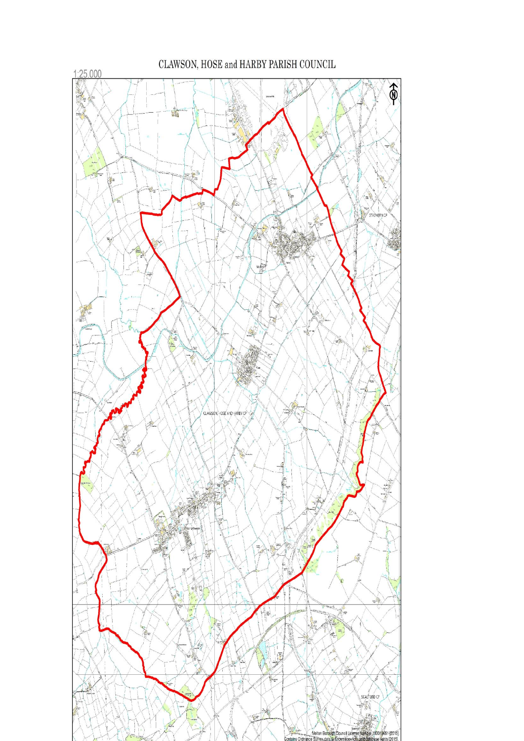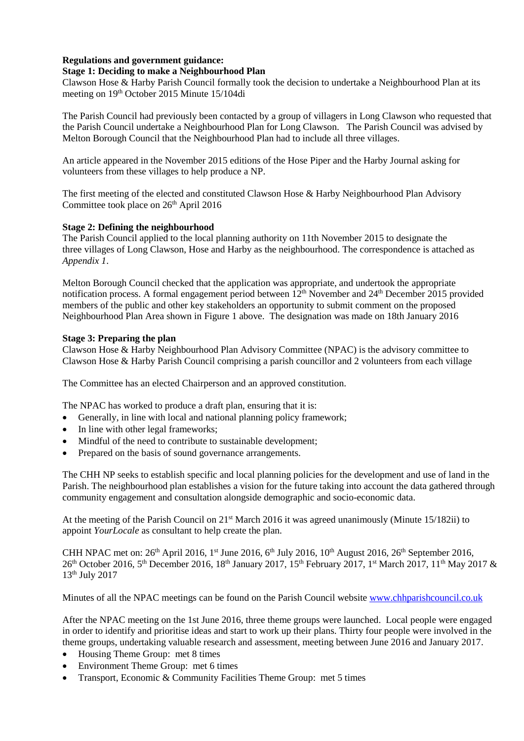# **Regulations and government guidance:**

## **Stage 1: Deciding to make a Neighbourhood Plan**

Clawson Hose & Harby Parish Council formally took the decision to undertake a Neighbourhood Plan at its meeting on 19th October 2015 Minute 15/104di

The Parish Council had previously been contacted by a group of villagers in Long Clawson who requested that the Parish Council undertake a Neighbourhood Plan for Long Clawson. The Parish Council was advised by Melton Borough Council that the Neighbourhood Plan had to include all three villages.

An article appeared in the November 2015 editions of the Hose Piper and the Harby Journal asking for volunteers from these villages to help produce a NP.

The first meeting of the elected and constituted Clawson Hose & Harby Neighbourhood Plan Advisory Committee took place on 26<sup>th</sup> April 2016

## **Stage 2: Defining the neighbourhood**

The Parish Council applied to the local planning authority on 11th November 2015 to designate the three villages of Long Clawson, Hose and Harby as the neighbourhood. The correspondence is attached as *Appendix 1*.

Melton Borough Council checked that the application was appropriate, and undertook the appropriate notification process. A formal engagement period between 12<sup>th</sup> November and 24<sup>th</sup> December 2015 provided members of the public and other key stakeholders an opportunity to submit comment on the proposed Neighbourhood Plan Area shown in Figure 1 above. The designation was made on 18th January 2016

## **Stage 3: Preparing the plan**

Clawson Hose & Harby Neighbourhood Plan Advisory Committee (NPAC) is the advisory committee to Clawson Hose & Harby Parish Council comprising a parish councillor and 2 volunteers from each village

The Committee has an elected Chairperson and an approved constitution.

The NPAC has worked to produce a draft plan, ensuring that it is:

- Generally, in line with local and national planning policy framework:
- In line with other legal frameworks;
- Mindful of the need to contribute to sustainable development;
- Prepared on the basis of sound governance arrangements.

The CHH NP seeks to establish specific and local planning policies for the development and use of land in the Parish. The neighbourhood plan establishes a vision for the future taking into account the data gathered through community engagement and consultation alongside demographic and socio-economic data.

At the meeting of the Parish Council on 21st March 2016 it was agreed unanimously (Minute 15/182ii) to appoint *YourLocale* as consultant to help create the plan.

CHH NPAC met on:  $26<sup>th</sup>$  April 2016, 1<sup>st</sup> June 2016, 6<sup>th</sup> July 2016, 10<sup>th</sup> August 2016, 26<sup>th</sup> September 2016, 26<sup>th</sup> October 2016, 5<sup>th</sup> December 2016, 18<sup>th</sup> January 2017, 15<sup>th</sup> February 2017, 1<sup>st</sup> March 2017, 11<sup>th</sup> May 2017 & 13th July 2017

Minutes of all the NPAC meetings can be found on the Parish Council website [www.chhparishcouncil.co.uk](http://www.chhparishcouncil.co.uk/)

After the NPAC meeting on the 1st June 2016, three theme groups were launched. Local people were engaged in order to identify and prioritise ideas and start to work up their plans. Thirty four people were involved in the theme groups, undertaking valuable research and assessment, meeting between June 2016 and January 2017.

- Housing Theme Group: met 8 times
- Environment Theme Group: met 6 times
- Transport, Economic & Community Facilities Theme Group: met 5 times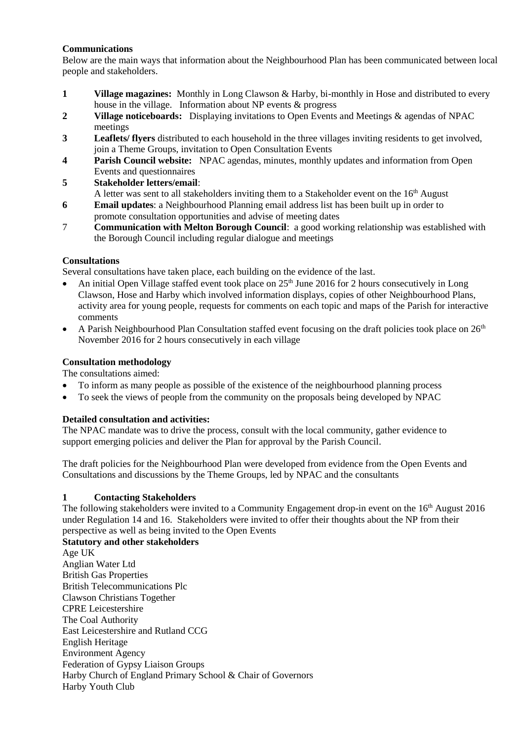## **Communications**

Below are the main ways that information about the Neighbourhood Plan has been communicated between local people and stakeholders.

- **1 Village magazines:** Monthly in Long Clawson & Harby, bi-monthly in Hose and distributed to every house in the village. Information about NP events & progress
- **2 Village noticeboards:** Displaying invitations to Open Events and Meetings & agendas of NPAC meetings
- **3 Leaflets/ flyers** distributed to each household in the three villages inviting residents to get involved, join a Theme Groups, invitation to Open Consultation Events
- **4 Parish Council website:** NPAC agendas, minutes, monthly updates and information from Open Events and questionnaires
- **5 Stakeholder letters/email**: A letter was sent to all stakeholders inviting them to a Stakeholder event on the  $16<sup>th</sup>$  August
- **6 Email updates**: a Neighbourhood Planning email address list has been built up in order to promote consultation opportunities and advise of meeting dates
- 7 **Communication with Melton Borough Council**: a good working relationship was established with the Borough Council including regular dialogue and meetings

## **Consultations**

Several consultations have taken place, each building on the evidence of the last.

- An initial Open Village staffed event took place on  $25<sup>th</sup>$  June 2016 for 2 hours consecutively in Long Clawson, Hose and Harby which involved information displays, copies of other Neighbourhood Plans, activity area for young people, requests for comments on each topic and maps of the Parish for interactive comments
- A Parish Neighbourhood Plan Consultation staffed event focusing on the draft policies took place on  $26<sup>th</sup>$ November 2016 for 2 hours consecutively in each village

## **Consultation methodology**

The consultations aimed:

- To inform as many people as possible of the existence of the neighbourhood planning process
- To seek the views of people from the community on the proposals being developed by NPAC

# **Detailed consultation and activities:**

The NPAC mandate was to drive the process, consult with the local community, gather evidence to support emerging policies and deliver the Plan for approval by the Parish Council.

The draft policies for the Neighbourhood Plan were developed from evidence from the Open Events and Consultations and discussions by the Theme Groups, led by NPAC and the consultants

## **1 Contacting Stakeholders**

The following stakeholders were invited to a Community Engagement drop-in event on the 16<sup>th</sup> August 2016 under Regulation 14 and 16. Stakeholders were invited to offer their thoughts about the NP from their perspective as well as being invited to the Open Events

**Statutory and other stakeholders** Age UK Anglian Water Ltd British Gas Properties British Telecommunications Plc Clawson Christians Together CPRE Leicestershire The Coal Authority East Leicestershire and Rutland CCG English Heritage Environment Agency Federation of Gypsy Liaison Groups

Harby Church of England Primary School & Chair of Governors

Harby Youth Club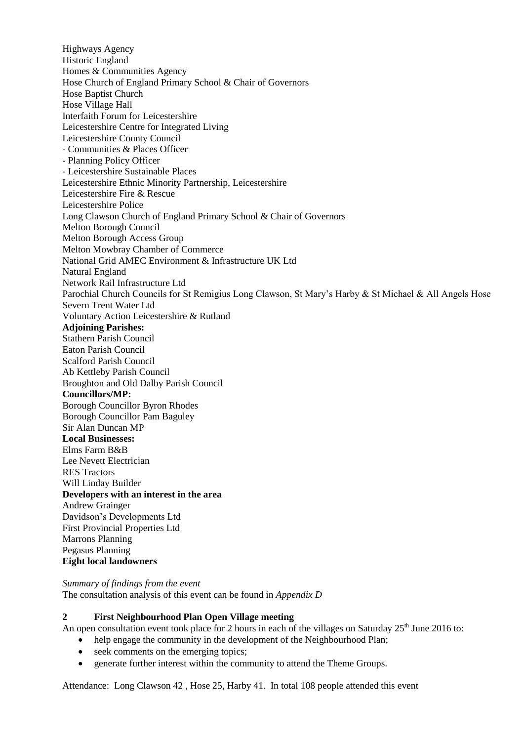Highways Agency Historic England Homes & Communities Agency Hose Church of England Primary School & Chair of Governors Hose Baptist Church Hose Village Hall Interfaith Forum for Leicestershire Leicestershire Centre for Integrated Living Leicestershire County Council - Communities & Places Officer - Planning Policy Officer - Leicestershire Sustainable Places Leicestershire Ethnic Minority Partnership, Leicestershire Leicestershire Fire & Rescue Leicestershire Police Long Clawson Church of England Primary School & Chair of Governors Melton Borough Council Melton Borough Access Group Melton Mowbray Chamber of Commerce National Grid AMEC Environment & Infrastructure UK Ltd Natural England Network Rail Infrastructure Ltd Parochial Church Councils for St Remigius Long Clawson, St Mary's Harby & St Michael & All Angels Hose Severn Trent Water Ltd Voluntary Action Leicestershire & Rutland **Adjoining Parishes:** Stathern Parish Council Eaton Parish Council Scalford Parish Council Ab Kettleby Parish Council Broughton and Old Dalby Parish Council **Councillors/MP:** Borough Councillor Byron Rhodes Borough Councillor Pam Baguley Sir Alan Duncan MP **Local Businesses:** Elms Farm B&B Lee Nevett Electrician RES Tractors Will Linday Builder **Developers with an interest in the area** Andrew Grainger Davidson's Developments Ltd First Provincial Properties Ltd Marrons Planning Pegasus Planning **Eight local landowners** 

*Summary of findings from the event* The consultation analysis of this event can be found in *Appendix D*

#### **2 First Neighbourhood Plan Open Village meeting**

An open consultation event took place for 2 hours in each of the villages on Saturday 25<sup>th</sup> June 2016 to:

- help engage the community in the development of the Neighbourhood Plan;
- seek comments on the emerging topics;
- generate further interest within the community to attend the Theme Groups.

Attendance: Long Clawson 42 , Hose 25, Harby 41. In total 108 people attended this event